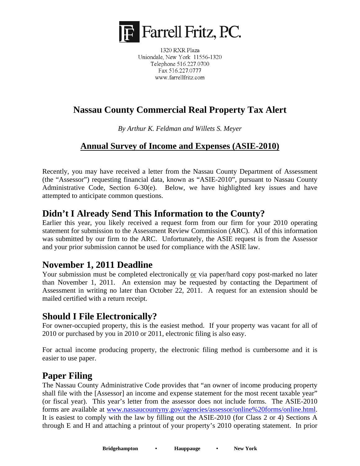

1320 RXR Plaza Uniondale, New York 11556-1320 Telephone 516.227.0700 Fax 516.227.0777 www.farrellfritz.com

# **Nassau County Commercial Real Property Tax Alert**

*By Arthur K. Feldman and Willets S. Meyer* 

#### **Annual Survey of Income and Expenses (ASIE-2010)**

Recently, you may have received a letter from the Nassau County Department of Assessment (the "Assessor") requesting financial data, known as "ASIE-2010", pursuant to Nassau County Administrative Code, Section 6-30(e). Below, we have highlighted key issues and have attempted to anticipate common questions.

#### **Didn't I Already Send This Information to the County?**

Earlier this year, you likely received a request form from our firm for your 2010 operating statement for submission to the Assessment Review Commission (ARC). All of this information was submitted by our firm to the ARC. Unfortunately, the ASIE request is from the Assessor and your prior submission cannot be used for compliance with the ASIE law.

## **November 1, 2011 Deadline**

Your submission must be completed electronically or via paper/hard copy post-marked no later than November 1, 2011. An extension may be requested by contacting the Department of Assessment in writing no later than October 22, 2011. A request for an extension should be mailed certified with a return receipt.

#### **Should I File Electronically?**

For owner-occupied property, this is the easiest method. If your property was vacant for all of 2010 or purchased by you in 2010 or 2011, electronic filing is also easy.

For actual income producing property, the electronic filing method is cumbersome and it is easier to use paper.

## **Paper Filing**

The Nassau County Administrative Code provides that "an owner of income producing property shall file with the [Assessor] an income and expense statement for the most recent taxable year" (or fiscal year). This year's letter from the assessor does not include forms. The ASIE-2010 forms are available at www.nassaucountyny.gov/agencies/assessor/online%20forms/online.html. It is easiest to comply with the law by filling out the ASIE-2010 (for Class 2 or 4) Sections A through E and H and attaching a printout of your property's 2010 operating statement. In prior